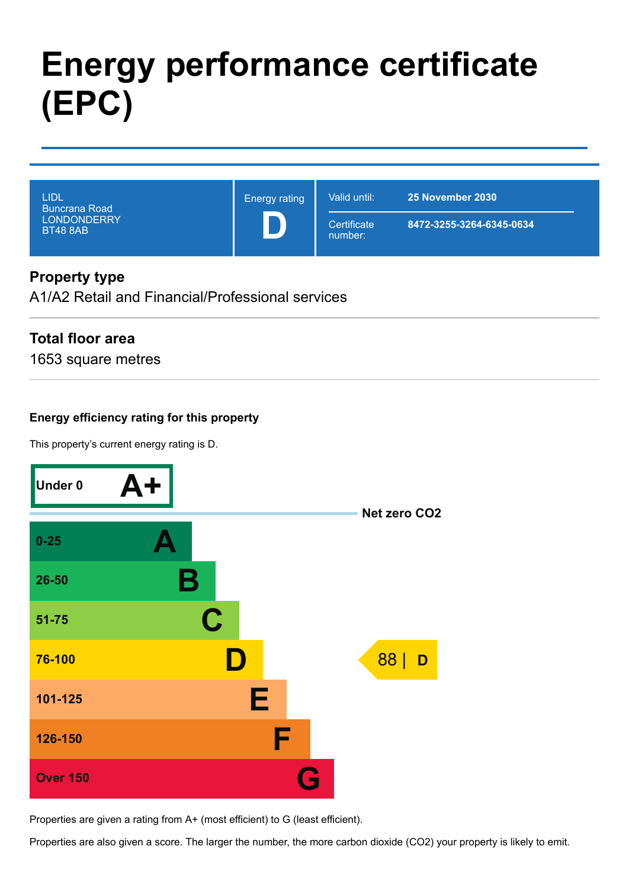# **Energy performance certificate (EPC)**

| LIDL<br>i Buncrana Road <sup>'</sup><br><b>LONDONDERRY</b><br><b>BT48 8AB</b> | <b>Energy rating</b> | Valid until:           | 25 November 2030         |
|-------------------------------------------------------------------------------|----------------------|------------------------|--------------------------|
|                                                                               |                      | Certificate<br>number: | 8472-3255-3264-6345-0634 |

# **Property type**

A1/A2 Retail and Financial/Professional services

# **Total floor area**

1653 square metres

### **Energy efficiency rating for this property**

This property's current energy rating is D.



Properties are given a rating from A+ (most efficient) to G (least efficient).

Properties are also given a score. The larger the number, the more carbon dioxide (CO2) your property is likely to emit.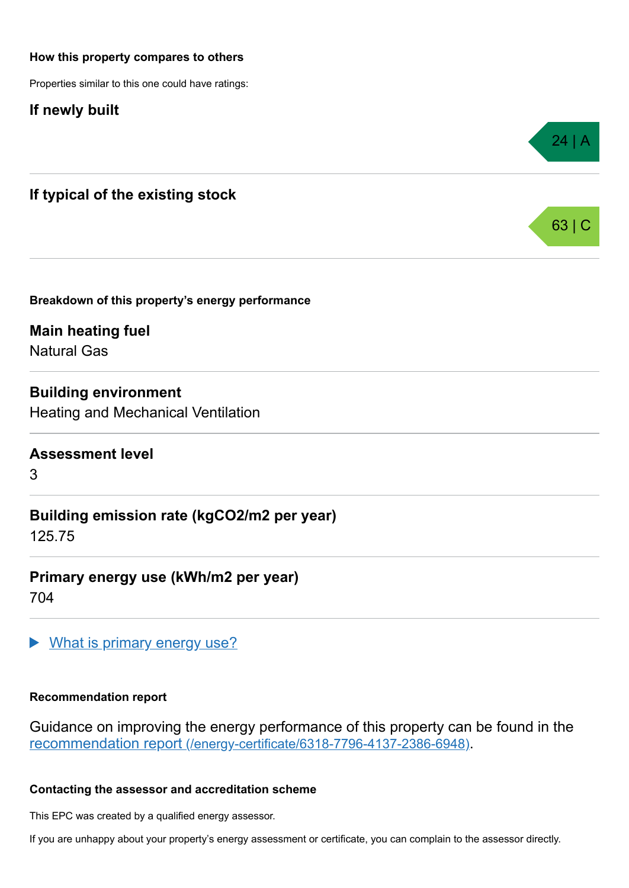#### **How this property compares to others**

Properties similar to this one could have ratings:

**If newly built**



**Breakdown of this property's energy performance**

**Main heating fuel** Natural Gas

**Building environment** Heating and Mechanical Ventilation

**Assessment level**

3

**Building emission rate (kgCO2/m2 per year)** 125.75

**Primary energy use (kWh/m2 per year)** 704

What is primary energy use?

#### **Recommendation report**

Guidance on improving the energy performance of this property can be found in the recommendation report [\(/energy-certificate/6318-7796-4137-2386-6948\)](https://find-energy-certificate.digital.communities.gov.uk/energy-certificate/6318-7796-4137-2386-6948).

24 | A

63 | C

#### **Contacting the assessor and accreditation scheme**

This EPC was created by a qualified energy assessor.

If you are unhappy about your property's energy assessment or certificate, you can complain to the assessor directly.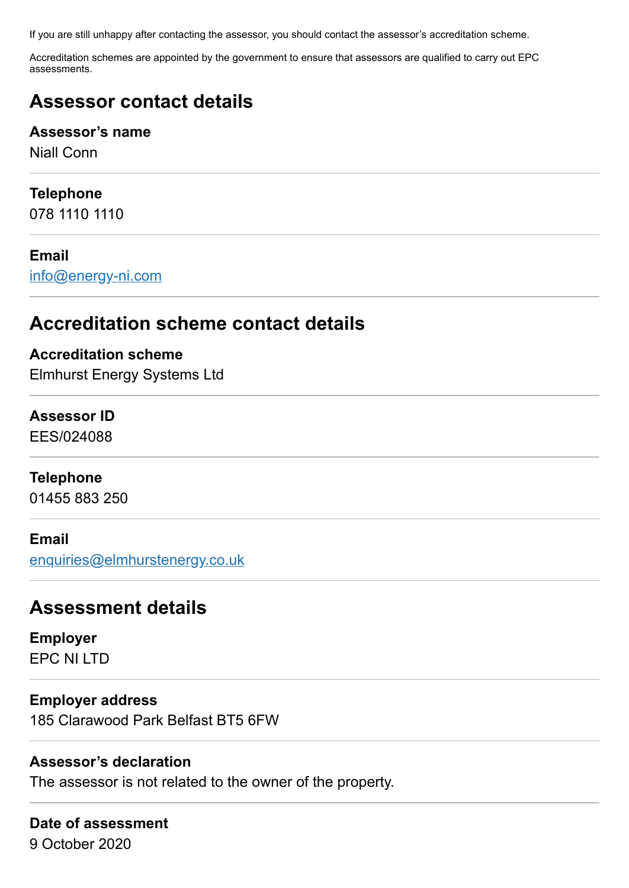If you are still unhappy after contacting the assessor, you should contact the assessor's accreditation scheme.

Accreditation schemes are appointed by the government to ensure that assessors are qualified to carry out EPC assessments.

# **Assessor contact details**

### **Assessor's name**

Niall Conn

# **Telephone**

078 1110 1110

# **Email**

[info@energy-ni.com](mailto:info@energy-ni.com)

# **Accreditation scheme contact details**

# **Accreditation scheme** Elmhurst Energy Systems Ltd

# **Assessor ID**

EES/024088

# **Telephone**

01455 883 250

### **Email**

[enquiries@elmhurstenergy.co.uk](mailto:enquiries@elmhurstenergy.co.uk)

# **Assessment details**

**Employer** EPC NI LTD

# **Employer address**

185 Clarawood Park Belfast BT5 6FW

# **Assessor's declaration**

The assessor is not related to the owner of the property.

# **Date of assessment** 9 October 2020